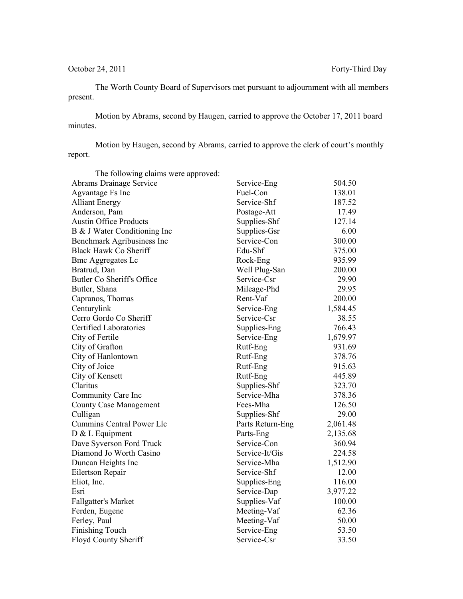The Worth County Board of Supervisors met pursuant to adjournment with all members present.

Motion by Abrams, second by Haugen, carried to approve the October 17, 2011 board minutes.

Motion by Haugen, second by Abrams, carried to approve the clerk of court's monthly report.

| The following claims were approved: |                  |          |
|-------------------------------------|------------------|----------|
| Abrams Drainage Service             | Service-Eng      | 504.50   |
| Agvantage Fs Inc                    | Fuel-Con         | 138.01   |
| <b>Alliant Energy</b>               | Service-Shf      | 187.52   |
| Anderson, Pam                       | Postage-Att      | 17.49    |
| <b>Austin Office Products</b>       | Supplies-Shf     | 127.14   |
| B & J Water Conditioning Inc        | Supplies-Gsr     | 6.00     |
| Benchmark Agribusiness Inc          | Service-Con      | 300.00   |
| Black Hawk Co Sheriff               | Edu-Shf          | 375.00   |
| <b>Bmc Aggregates Lc</b>            | Rock-Eng         | 935.99   |
| Bratrud, Dan                        | Well Plug-San    | 200.00   |
| Butler Co Sheriff's Office          | Service-Csr      | 29.90    |
| Butler, Shana                       | Mileage-Phd      | 29.95    |
| Capranos, Thomas                    | Rent-Vaf         | 200.00   |
| Centurylink                         | Service-Eng      | 1,584.45 |
| Cerro Gordo Co Sheriff              | Service-Csr      | 38.55    |
| <b>Certified Laboratories</b>       | Supplies-Eng     | 766.43   |
| City of Fertile                     | Service-Eng      | 1,679.97 |
| City of Grafton                     | Rutf-Eng         | 931.69   |
| City of Hanlontown                  | Rutf-Eng         | 378.76   |
| City of Joice                       | Rutf-Eng         | 915.63   |
| City of Kensett                     | Rutf-Eng         | 445.89   |
| Claritus                            | Supplies-Shf     | 323.70   |
| Community Care Inc                  | Service-Mha      | 378.36   |
| <b>County Case Management</b>       | Fees-Mha         | 126.50   |
| Culligan                            | Supplies-Shf     | 29.00    |
| Cummins Central Power Llc           | Parts Return-Eng | 2,061.48 |
| $D & L$ Equipment                   | Parts-Eng        | 2,135.68 |
| Dave Syverson Ford Truck            | Service-Con      | 360.94   |
| Diamond Jo Worth Casino             | Service-It/Gis   | 224.58   |
| Duncan Heights Inc                  | Service-Mha      | 1,512.90 |
| Eilertson Repair                    | Service-Shf      | 12.00    |
| Eliot, Inc.                         | Supplies-Eng     | 116.00   |
| Esri                                | Service-Dap      | 3,977.22 |
| <b>Fallgatter's Market</b>          | Supplies-Vaf     | 100.00   |
| Ferden, Eugene                      | Meeting-Vaf      | 62.36    |
| Ferley, Paul                        | Meeting-Vaf      | 50.00    |
| <b>Finishing Touch</b>              | Service-Eng      | 53.50    |
| Floyd County Sheriff                | Service-Csr      | 33.50    |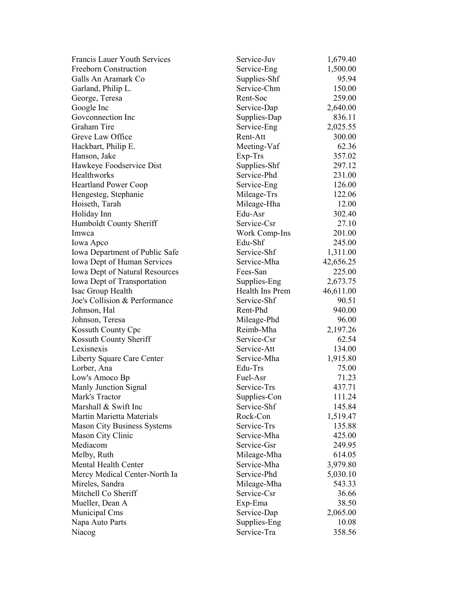| <b>Francis Lauer Youth Services</b>   | Service-Juv              | 1,679.40  |
|---------------------------------------|--------------------------|-----------|
| Freeborn Construction                 | Service-Eng              | 1,500.00  |
| Galls An Aramark Co                   | Supplies-Shf             | 95.94     |
| Garland, Philip L.                    | Service-Chm              | 150.00    |
| George, Teresa                        | Rent-Soc                 | 259.00    |
| Google Inc                            | Service-Dap              | 2,640.00  |
| Goveonnection Inc                     | Supplies-Dap             | 836.11    |
| Graham Tire                           | Service-Eng              | 2,025.55  |
| Greve Law Office                      | Rent-Att                 | 300.00    |
| Hackbart, Philip E.                   | Meeting-Vaf              | 62.36     |
| Hanson, Jake                          | Exp-Trs                  | 357.02    |
| Hawkeye Foodservice Dist              | Supplies-Shf             | 297.12    |
| Healthworks                           | Service-Phd              | 231.00    |
| <b>Heartland Power Coop</b>           | Service-Eng              | 126.00    |
| Hengesteg, Stephanie                  | Mileage-Trs              | 122.06    |
| Hoiseth, Tarah                        | Mileage-Hha              | 12.00     |
| Holiday Inn                           | Edu-Asr                  | 302.40    |
| Humboldt County Sheriff               | Service-Csr              | 27.10     |
| Imwca                                 | Work Comp-Ins            | 201.00    |
| Iowa Apco                             | Edu-Shf                  | 245.00    |
| Iowa Department of Public Safe        | Service-Shf              | 1,311.00  |
| Iowa Dept of Human Services           | Service-Mha              | 42,656.25 |
| <b>Iowa Dept of Natural Resources</b> | Fees-San                 | 225.00    |
| Iowa Dept of Transportation           | Supplies-Eng             | 2,673.75  |
| Isac Group Health                     | Health Ins Prem          | 46,611.00 |
| Joe's Collision & Performance         | Service-Shf              | 90.51     |
| Johnson, Hal                          | Rent-Phd                 | 940.00    |
|                                       |                          | 96.00     |
| Johnson, Teresa                       | Mileage-Phd<br>Reimb-Mha |           |
| Kossuth County Cpc                    |                          | 2,197.26  |
| Kossuth County Sheriff<br>Lexisnexis  | Service-Csr              | 62.54     |
|                                       | Service-Att              | 134.00    |
| Liberty Square Care Center            | Service-Mha              | 1,915.80  |
| Lorber, Ana                           | Edu-Trs                  | 75.00     |
| Low's Amoco Bp                        | Fuel-Asr                 | 71.23     |
| Manly Junction Signal                 | Service-Trs              | 437.71    |
| Mark's Tractor                        | Supplies-Con             | 111.24    |
| Marshall & Swift Inc                  | Service-Shf              | 145.84    |
| Martin Marietta Materials             | Rock-Con                 | 1,519.47  |
| <b>Mason City Business Systems</b>    | Service-Trs              | 135.88    |
| Mason City Clinic                     | Service-Mha              | 425.00    |
| Mediacom                              | Service-Gsr              | 249.95    |
| Melby, Ruth                           | Mileage-Mha              | 614.05    |
| Mental Health Center                  | Service-Mha              | 3,979.80  |
| Mercy Medical Center-North Ia         | Service-Phd              | 5,030.10  |
| Mireles, Sandra                       | Mileage-Mha              | 543.33    |
| Mitchell Co Sheriff                   | Service-Csr              | 36.66     |
| Mueller, Dean A                       | Exp-Ema                  | 38.50     |
| Municipal Cms                         | Service-Dap              | 2,065.00  |
| Napa Auto Parts                       | Supplies-Eng             | 10.08     |
| Niacog                                | Service-Tra              | 358.56    |